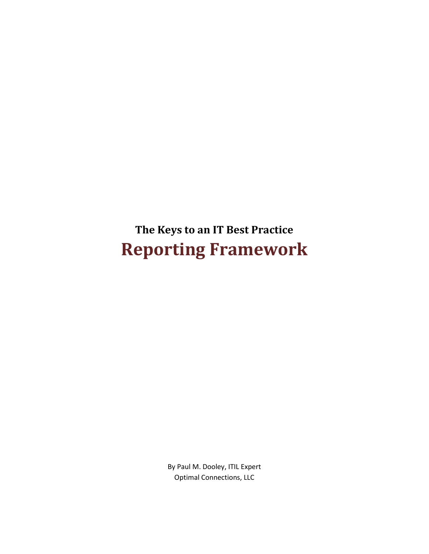**The Keys to an IT Best Practice Reporting Framework**

> By Paul M. Dooley, ITIL Expert Optimal Connections, LLC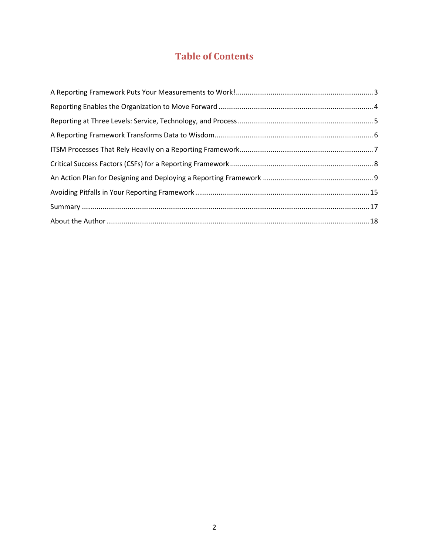# **Table of Contents**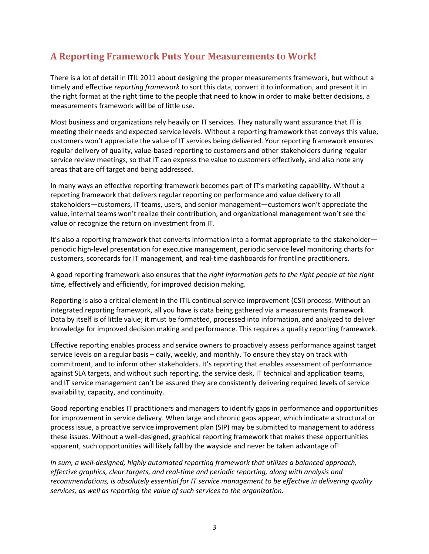### <span id="page-2-0"></span>**A Reporting Framework Puts Your Measurements to Work!**

There is a lot of detail in ITIL 2011 about designing the proper measurements framework, but without a timely and effective *reporting framework* to sort this data, convert it to information, and present it in the right format at the right time to the people that need to know in order to make better decisions, a measurements framework will be of little use*.*

Most business and organizations rely heavily on IT services. They naturally want assurance that IT is meeting their needs and expected service levels. Without a reporting framework that conveys this value, customers won't appreciate the value of IT services being delivered. Your reporting framework ensures regular delivery of quality, value-based reporting to customers and other stakeholders during regular service review meetings, so that IT can express the value to customers effectively, and also note any areas that are off target and being addressed.

In many ways an effective reporting framework becomes part of IT's marketing capability. Without a reporting framework that delivers regular reporting on performance and value delivery to all stakeholders—customers, IT teams, users, and senior management—customers won't appreciate the value, internal teams won't realize their contribution, and organizational management won't see the value or recognize the return on investment from IT.

It's also a reporting framework that converts information into a format appropriate to the stakeholder periodic high-level presentation for executive management, periodic service level monitoring charts for customers, scorecards for IT management, and real-time dashboards for frontline practitioners.

A good reporting framework also ensures that the *right information gets to the right people at the right time,* effectively and efficiently, for improved decision making.

Reporting is also a critical element in the ITIL continual service improvement (CSI) process. Without an integrated reporting framework, all you have is data being gathered via a measurements framework. Data by itself is of little value; it must be formatted, processed into information, and analyzed to deliver knowledge for improved decision making and performance. This requires a quality reporting framework.

Effective reporting enables process and service owners to proactively assess performance against target service levels on a regular basis – daily, weekly, and monthly. To ensure they stay on track with commitment, and to inform other stakeholders. It's reporting that enables assessment of performance against SLA targets, and without such reporting, the service desk, IT technical and application teams, and IT service management can't be assured they are consistently delivering required levels of service availability, capacity, and continuity.

Good reporting enables IT practitioners and managers to identify gaps in performance and opportunities for improvement in service delivery. When large and chronic gaps appear, which indicate a structural or process issue, a proactive service improvement plan (SIP) may be submitted to management to address these issues. Without a well-designed, graphical reporting framework that makes these opportunities apparent, such opportunities will likely fall by the wayside and never be taken advantage of!

*In sum, a well-designed, highly automated reporting framework that utilizes a balanced approach, effective graphics, clear targets, and real-time and periodic reporting, along with analysis and recommendations, is absolutely essential for IT service management to be effective in delivering quality services, as well as reporting the value of such services to the organization.*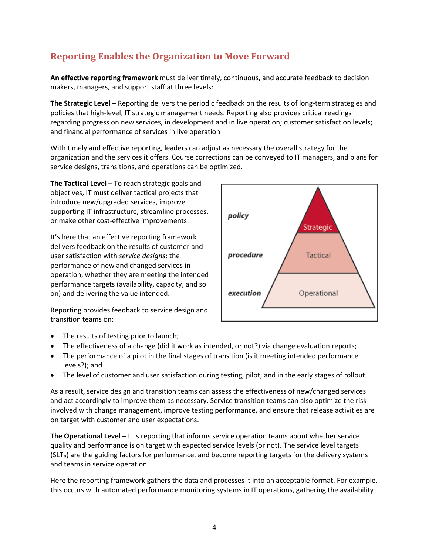## <span id="page-3-0"></span>**Reporting Enables the Organization to Move Forward**

**An effective reporting framework** must deliver timely, continuous, and accurate feedback to decision makers, managers, and support staff at three levels:

**The Strategic Level** – Reporting delivers the periodic feedback on the results of long-term strategies and policies that high-level, IT strategic management needs. Reporting also provides critical readings regarding progress on new services, in development and in live operation; customer satisfaction levels; and financial performance of services in live operation

With timely and effective reporting, leaders can adjust as necessary the overall strategy for the organization and the services it offers. Course corrections can be conveyed to IT managers, and plans for service designs, transitions, and operations can be optimized.

**The Tactical Level** – To reach strategic goals and objectives, IT must deliver tactical projects that introduce new/upgraded services, improve supporting IT infrastructure, streamline processes, or make other cost-effective improvements.

It's here that an effective reporting framework delivers feedback on the results of customer and user satisfaction with *service designs*: the performance of new and changed services in operation, whether they are meeting the intended performance targets (availability, capacity, and so on) and delivering the value intended.

Reporting provides feedback to service design and transition teams on:



- The results of testing prior to launch;
- The effectiveness of a change (did it work as intended, or not?) via change evaluation reports;
- The performance of a pilot in the final stages of transition (is it meeting intended performance levels?); and
- The level of customer and user satisfaction during testing, pilot, and in the early stages of rollout.

As a result, service design and transition teams can assess the effectiveness of new/changed services and act accordingly to improve them as necessary. Service transition teams can also optimize the risk involved with change management, improve testing performance, and ensure that release activities are on target with customer and user expectations.

**The Operational Level** – It is reporting that informs service operation teams about whether service quality and performance is on target with expected service levels (or not). The service level targets (SLTs) are the guiding factors for performance, and become reporting targets for the delivery systems and teams in service operation.

Here the reporting framework gathers the data and processes it into an acceptable format. For example, this occurs with automated performance monitoring systems in IT operations, gathering the availability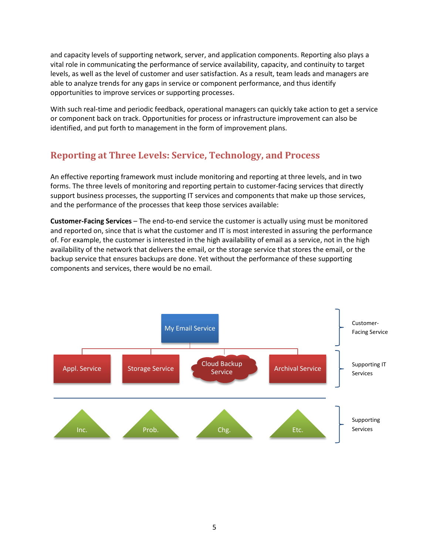and capacity levels of supporting network, server, and application components. Reporting also plays a vital role in communicating the performance of service availability, capacity, and continuity to target levels, as well as the level of customer and user satisfaction. As a result, team leads and managers are able to analyze trends for any gaps in service or component performance, and thus identify opportunities to improve services or supporting processes.

With such real-time and periodic feedback, operational managers can quickly take action to get a service or component back on track. Opportunities for process or infrastructure improvement can also be identified, and put forth to management in the form of improvement plans.

### <span id="page-4-0"></span>**Reporting at Three Levels: Service, Technology, and Process**

An effective reporting framework must include monitoring and reporting at three levels, and in two forms. The three levels of monitoring and reporting pertain to customer-facing services that directly support business processes, the supporting IT services and components that make up those services, and the performance of the processes that keep those services available:

**Customer-Facing Services** – The end-to-end service the customer is actually using must be monitored and reported on, since that is what the customer and IT is most interested in assuring the performance of. For example, the customer is interested in the high availability of email as a service, not in the high availability of the network that delivers the email, or the storage service that stores the email, or the backup service that ensures backups are done. Yet without the performance of these supporting components and services, there would be no email.

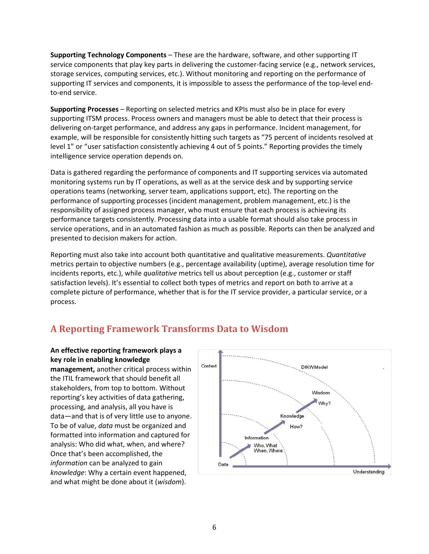**Supporting Technology Components** – These are the hardware, software, and other supporting IT service components that play key parts in delivering the customer-facing service (e.g., network services, storage services, computing services, etc.). Without monitoring and reporting on the performance of supporting IT services and components, it is impossible to assess the performance of the top-level endto-end service.

**Supporting Processes** – Reporting on selected metrics and KPIs must also be in place for every supporting ITSM process. Process owners and managers must be able to detect that their process is delivering on-target performance, and address any gaps in performance. Incident management, for example, will be responsible for consistently hitting such targets as "75 percent of incidents resolved at level 1" or "user satisfaction consistently achieving 4 out of 5 points." Reporting provides the timely intelligence service operation depends on.

Data is gathered regarding the performance of components and IT supporting services via automated monitoring systems run by IT operations, as well as at the service desk and by supporting service operations teams (networking, server team, applications support, etc). The reporting on the performance of supporting processes (incident management, problem management, etc.) is the responsibility of assigned process manager, who must ensure that each process is achieving its performance targets consistently. Processing data into a usable format should also take process in service operations, and in an automated fashion as much as possible. Reports can then be analyzed and presented to decision makers for action.

Reporting must also take into account both quantitative and qualitative measurements. *Quantitative* metrics pertain to objective numbers (e.g., percentage availability (uptime), average resolution time for incidents reports, etc.), while *qualitative* metrics tell us about perception (e.g., customer or staff satisfaction levels). It's essential to collect both types of metrics and report on both to arrive at a complete picture of performance, whether that is for the IT service provider, a particular service, or a process.

### <span id="page-5-0"></span>**A Reporting Framework Transforms Data to Wisdom**

**An effective reporting framework plays a key role in enabling knowledge management,** another critical process within the ITIL framework that should benefit all stakeholders, from top to bottom. Without reporting's key activities of data gathering, processing, and analysis, all you have is data—and that is of very little use to anyone. To be of value, *data* must be organized and formatted into information and captured for analysis: Who did what, when, and where? Once that's been accomplished, the *information* can be analyzed to gain *knowledge*: Why a certain event happened, and what might be done about it (*wisdom*).

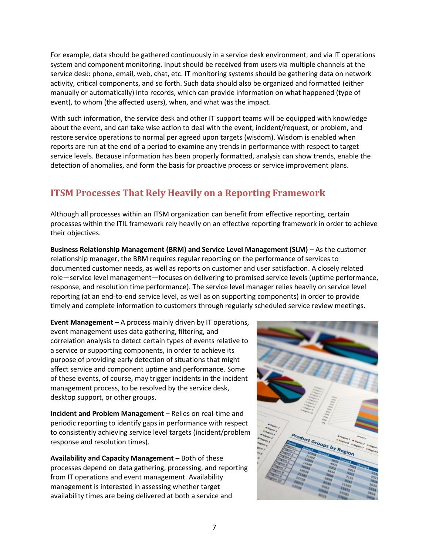For example, data should be gathered continuously in a service desk environment, and via IT operations system and component monitoring. Input should be received from users via multiple channels at the service desk: phone, email, web, chat, etc. IT monitoring systems should be gathering data on network activity, critical components, and so forth. Such data should also be organized and formatted (either manually or automatically) into records, which can provide information on what happened (type of event), to whom (the affected users), when, and what was the impact.

With such information, the service desk and other IT support teams will be equipped with knowledge about the event, and can take wise action to deal with the event, incident/request, or problem, and restore service operations to normal per agreed upon targets (wisdom). Wisdom is enabled when reports are run at the end of a period to examine any trends in performance with respect to target service levels. Because information has been properly formatted, analysis can show trends, enable the detection of anomalies, and form the basis for proactive process or service improvement plans.

## <span id="page-6-0"></span>**ITSM Processes That Rely Heavily on a Reporting Framework**

Although all processes within an ITSM organization can benefit from effective reporting, certain processes within the ITIL framework rely heavily on an effective reporting framework in order to achieve their objectives.

**Business Relationship Management (BRM) and Service Level Management (SLM)** – As the customer relationship manager, the BRM requires regular reporting on the performance of services to documented customer needs, as well as reports on customer and user satisfaction. A closely related role—service level management—focuses on delivering to promised service levels (uptime performance, response, and resolution time performance). The service level manager relies heavily on service level reporting (at an end-to-end service level, as well as on supporting components) in order to provide timely and complete information to customers through regularly scheduled service review meetings.

**Event Management** – A process mainly driven by IT operations, event management uses data gathering, filtering, and correlation analysis to detect certain types of events relative to a service or supporting components, in order to achieve its purpose of providing early detection of situations that might affect service and component uptime and performance. Some of these events, of course, may trigger incidents in the incident management process, to be resolved by the service desk, desktop support, or other groups.

**Incident and Problem Management** – Relies on real-time and periodic reporting to identify gaps in performance with respect to consistently achieving service level targets (incident/problem response and resolution times).

**Availability and Capacity Management** – Both of these processes depend on data gathering, processing, and reporting from IT operations and event management. Availability management is interested in assessing whether target availability times are being delivered at both a service and

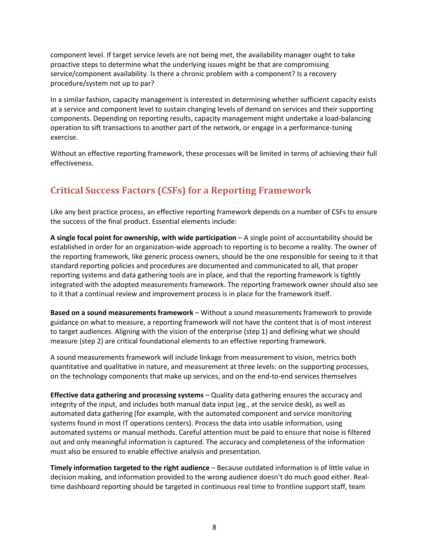component level. If target service levels are not being met, the availability manager ought to take proactive steps to determine what the underlying issues might be that are compromising service/component availability. Is there a chronic problem with a component? Is a recovery procedure/system not up to par?

In a similar fashion, capacity management is interested in determining whether sufficient capacity exists at a service and component level to sustain changing levels of demand on services and their supporting components. Depending on reporting results, capacity management might undertake a load-balancing operation to sift transactions to another part of the network, or engage in a performance-tuning exercise.

Without an effective reporting framework, these processes will be limited in terms of achieving their full effectiveness.

## <span id="page-7-0"></span>**Critical Success Factors (CSFs) for a Reporting Framework**

Like any best practice process, an effective reporting framework depends on a number of CSFs to ensure the success of the final product. Essential elements include:

**A single focal point for ownership, with wide participation** – A single point of accountability should be established in order for an organization-wide approach to reporting is to become a reality. The owner of the reporting framework, like generic process owners, should be the one responsible for seeing to it that standard reporting policies and procedures are documented and communicated to all, that proper reporting systems and data gathering tools are in place, and that the reporting framework is tightly integrated with the adopted measurements framework. The reporting framework owner should also see to it that a continual review and improvement process is in place for the framework itself.

**Based on a sound measurements framework** – Without a sound measurements framework to provide guidance on what to measure, a reporting framework will not have the content that is of most interest to target audiences. Aligning with the vision of the enterprise (step 1) and defining what we should measure (step 2) are critical foundational elements to an effective reporting framework.

A sound measurements framework will include linkage from measurement to vision, metrics both quantitative and qualitative in nature, and measurement at three levels: on the supporting processes, on the technology components that make up services, and on the end-to-end services themselves

**Effective data gathering and processing systems** – Quality data gathering ensures the accuracy and integrity of the input, and includes both manual data input (eg., at the service desk), as well as automated data gathering (for example, with the automated component and service monitoring systems found in most IT operations centers). Process the data into usable information, using automated systems or manual methods. Careful attention must be paid to ensure that noise is filtered out and only meaningful information is captured. The accuracy and completeness of the information must also be ensured to enable effective analysis and presentation.

**Timely information targeted to the right audience** – Because outdated information is of little value in decision making, and information provided to the wrong audience doesn't do much good either. Realtime dashboard reporting should be targeted in continuous real time to frontline support staff, team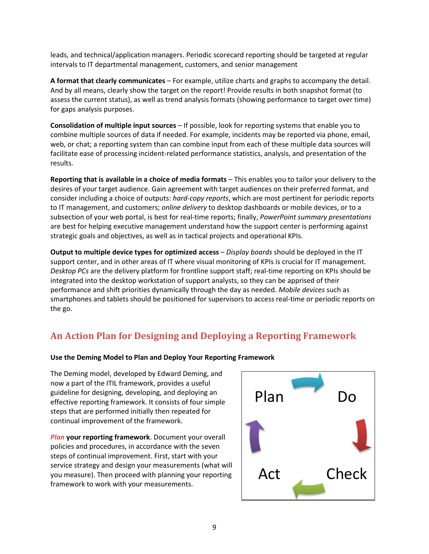leads, and technical/application managers. Periodic scorecard reporting should be targeted at regular intervals to IT departmental management, customers, and senior management

**A format that clearly communicates** – For example, utilize charts and graphs to accompany the detail. And by all means, clearly show the target on the report! Provide results in both snapshot format (to assess the current status), as well as trend analysis formats (showing performance to target over time) for gaps analysis purposes.

**Consolidation of multiple input sources** – If possible, look for reporting systems that enable you to combine multiple sources of data if needed. For example, incidents may be reported via phone, email, web, or chat; a reporting system than can combine input from each of these multiple data sources will facilitate ease of processing incident-related performance statistics, analysis, and presentation of the results.

**Reporting that is available in a choice of media formats** – This enables you to tailor your delivery to the desires of your target audience. Gain agreement with target audiences on their preferred format, and consider including a choice of outputs: *hard-copy reports*, which are most pertinent for periodic reports to IT management, and customers; *online delivery* to desktop dashboards or mobile devices, or to a subsection of your web portal, is best for real-time reports; finally, *PowerPoint summary presentations* are best for helping executive management understand how the support center is performing against strategic goals and objectives, as well as in tactical projects and operational KPIs.

**Output to multiple device types for optimized access** – *Display boards* should be deployed in the IT support center, and in other areas of IT where visual monitoring of KPIs is crucial for IT management. *Desktop PCs* are the delivery platform for frontline support staff; real-time reporting on KPIs should be integrated into the desktop workstation of support analysts, so they can be apprised of their performance and shift priorities dynamically through the day as needed. *Mobile devices* such as smartphones and tablets should be positioned for supervisors to access real-time or periodic reports on the go.

## <span id="page-8-0"></span>**An Action Plan for Designing and Deploying a Reporting Framework**

#### **Use the Deming Model to Plan and Deploy Your Reporting Framework**

The Deming model, developed by Edward Deming, and now a part of the ITIL framework, provides a useful guideline for designing, developing, and deploying an effective reporting framework. It consists of four simple steps that are performed initially then repeated for continual improvement of the framework.

*Plan* **your reporting framework**. Document your overall policies and procedures, in accordance with the seven steps of continual improvement. First, start with your service strategy and design your measurements (what will you measure). Then proceed with planning your reporting framework to work with your measurements.

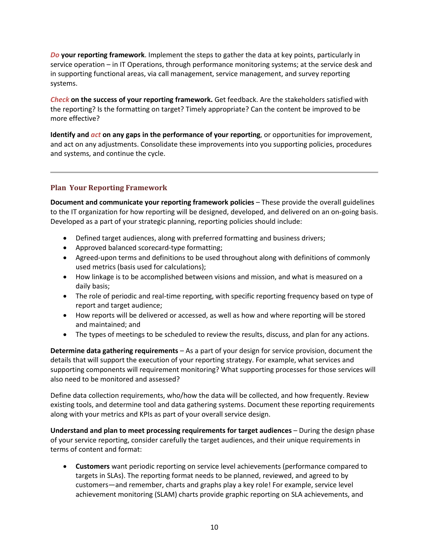*Do* **your reporting framework**. Implement the steps to gather the data at key points, particularly in service operation – in IT Operations, through performance monitoring systems; at the service desk and in supporting functional areas, via call management, service management, and survey reporting systems.

*Check* **on the success of your reporting framework.** Get feedback. Are the stakeholders satisfied with the reporting? Is the formatting on target? Timely appropriate? Can the content be improved to be more effective?

**Identify and** *act* **on any gaps in the performance of your reporting**, or opportunities for improvement, and act on any adjustments. Consolidate these improvements into you supporting policies, procedures and systems, and continue the cycle.

#### **Plan Your Reporting Framework**

**Document and communicate your reporting framework policies** – These provide the overall guidelines to the IT organization for how reporting will be designed, developed, and delivered on an on-going basis. Developed as a part of your strategic planning, reporting policies should include:

- Defined target audiences, along with preferred formatting and business drivers;
- Approved balanced scorecard-type formatting;
- Agreed-upon terms and definitions to be used throughout along with definitions of commonly used metrics (basis used for calculations);
- How linkage is to be accomplished between visions and mission, and what is measured on a daily basis;
- The role of periodic and real-time reporting, with specific reporting frequency based on type of report and target audience;
- How reports will be delivered or accessed, as well as how and where reporting will be stored and maintained; and
- The types of meetings to be scheduled to review the results, discuss, and plan for any actions.

**Determine data gathering requirements** – As a part of your design for service provision, document the details that will support the execution of your reporting strategy. For example, what services and supporting components will requirement monitoring? What supporting processes for those services will also need to be monitored and assessed?

Define data collection requirements, who/how the data will be collected, and how frequently. Review existing tools, and determine tool and data gathering systems. Document these reporting requirements along with your metrics and KPIs as part of your overall service design.

**Understand and plan to meet processing requirements for target audiences** – During the design phase of your service reporting, consider carefully the target audiences, and their unique requirements in terms of content and format:

 **Customers** want periodic reporting on service level achievements (performance compared to targets in SLAs). The reporting format needs to be planned, reviewed, and agreed to by customers—and remember, charts and graphs play a key role! For example, service level achievement monitoring (SLAM) charts provide graphic reporting on SLA achievements, and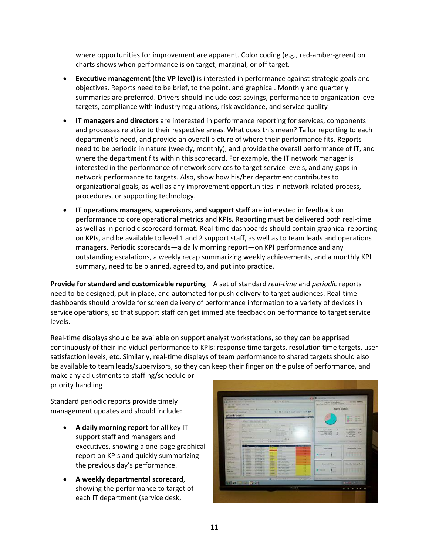where opportunities for improvement are apparent. Color coding (e.g., red-amber-green) on charts shows when performance is on target, marginal, or off target.

- **Executive management (the VP level)** is interested in performance against strategic goals and objectives. Reports need to be brief, to the point, and graphical. Monthly and quarterly summaries are preferred. Drivers should include cost savings, performance to organization level targets, compliance with industry regulations, risk avoidance, and service quality
- **IT managers and directors** are interested in performance reporting for services, components and processes relative to their respective areas. What does this mean? Tailor reporting to each department's need, and provide an overall picture of where their performance fits. Reports need to be periodic in nature (weekly, monthly), and provide the overall performance of IT, and where the department fits within this scorecard. For example, the IT network manager is interested in the performance of network services to target service levels, and any gaps in network performance to targets. Also, show how his/her department contributes to organizational goals, as well as any improvement opportunities in network-related process, procedures, or supporting technology.
- **IT operations managers, supervisors, and support staff** are interested in feedback on performance to core operational metrics and KPIs. Reporting must be delivered both real-time as well as in periodic scorecard format. Real-time dashboards should contain graphical reporting on KPIs, and be available to level 1 and 2 support staff, as well as to team leads and operations managers. Periodic scorecards—a daily morning report—on KPI performance and any outstanding escalations, a weekly recap summarizing weekly achievements, and a monthly KPI summary, need to be planned, agreed to, and put into practice.

**Provide for standard and customizable reporting** – A set of standard *real-time* and *periodic* reports need to be designed, put in place, and automated for push delivery to target audiences. Real-time dashboards should provide for screen delivery of performance information to a variety of devices in service operations, so that support staff can get immediate feedback on performance to target service levels.

Real-time displays should be available on support analyst workstations, so they can be apprised continuously of their individual performance to KPIs: response time targets, resolution time targets, user satisfaction levels, etc. Similarly, real-time displays of team performance to shared targets should also be available to team leads/supervisors, so they can keep their finger on the pulse of performance, and

make any adjustments to staffing/schedule or priority handling

Standard periodic reports provide timely management updates and should include:

- **A daily morning report** for all key IT support staff and managers and executives, showing a one-page graphical report on KPIs and quickly summarizing the previous day's performance.
- **A weekly departmental scorecard**, showing the performance to target of each IT department (service desk,

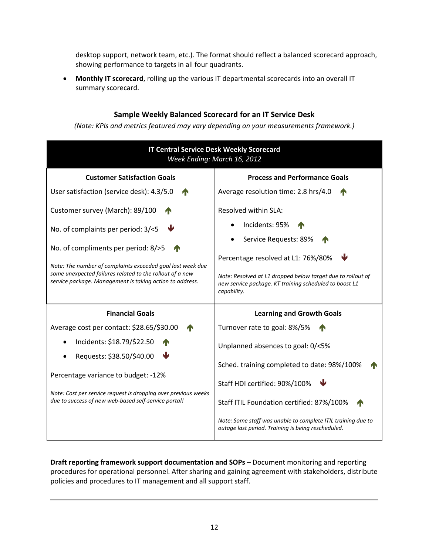desktop support, network team, etc.). The format should reflect a balanced scorecard approach, showing performance to targets in all four quadrants.

 **Monthly IT scorecard**, rolling up the various IT departmental scorecards into an overall IT summary scorecard.

#### **Sample Weekly Balanced Scorecard for an IT Service Desk**

*(Note: KPIs and metrics featured may vary depending on your measurements framework.)*

| <b>IT Central Service Desk Weekly Scorecard</b><br>Week Ending: March 16, 2012                                                                                                                                                                                                                     |                                                                                                                                                                                                                                               |  |
|----------------------------------------------------------------------------------------------------------------------------------------------------------------------------------------------------------------------------------------------------------------------------------------------------|-----------------------------------------------------------------------------------------------------------------------------------------------------------------------------------------------------------------------------------------------|--|
| <b>Customer Satisfaction Goals</b>                                                                                                                                                                                                                                                                 | <b>Process and Performance Goals</b>                                                                                                                                                                                                          |  |
| User satisfaction (service desk): 4.3/5.0                                                                                                                                                                                                                                                          | Average resolution time: 2.8 hrs/4.0                                                                                                                                                                                                          |  |
| Customer survey (March): 89/100<br>No. of complaints per period: 3/<5<br>No. of compliments per period: 8/>5<br>Note: The number of complaints exceeded goal last week due<br>some unexpected failures related to the rollout of a new<br>service package. Management is taking action to address. | Resolved within SLA:<br>Incidents: 95%<br>Service Requests: 89%<br>Percentage resolved at L1: 76%/80%<br>Note: Resolved at L1 dropped below target due to rollout of<br>new service package. KT training scheduled to boost L1<br>capability. |  |
| <b>Financial Goals</b>                                                                                                                                                                                                                                                                             | <b>Learning and Growth Goals</b>                                                                                                                                                                                                              |  |
| Average cost per contact: \$28.65/\$30.00                                                                                                                                                                                                                                                          | Turnover rate to goal: 8%/5%                                                                                                                                                                                                                  |  |
| Incidents: \$18.79/\$22.50<br>Requests: \$38.50/\$40.00<br>Percentage variance to budget: -12%<br>Note: Cost per service request is dropping over previous weeks<br>due to success of new web-based self-service portal!                                                                           | Unplanned absences to goal: 0/<5%                                                                                                                                                                                                             |  |
|                                                                                                                                                                                                                                                                                                    | Sched. training completed to date: 98%/100%<br>Staff HDI certified: 90%/100%<br>Staff ITIL Foundation certified: 87%/100%                                                                                                                     |  |
|                                                                                                                                                                                                                                                                                                    | Note: Some staff was unable to complete ITIL training due to<br>outage last period. Training is being rescheduled.                                                                                                                            |  |

**Draft reporting framework support documentation and SOPs** – Document monitoring and reporting procedures for operational personnel. After sharing and gaining agreement with stakeholders, distribute policies and procedures to IT management and all support staff.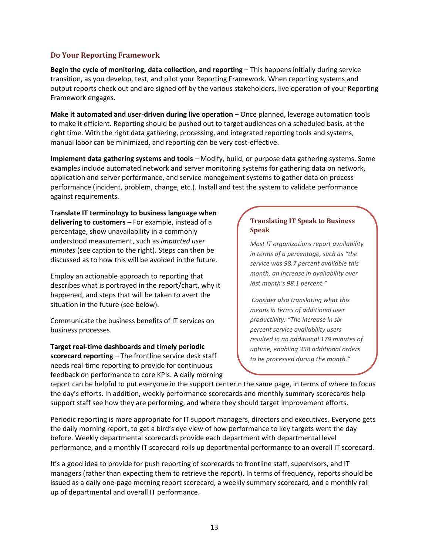#### **Do Your Reporting Framework**

**Begin the cycle of monitoring, data collection, and reporting** – This happens initially during service transition, as you develop, test, and pilot your Reporting Framework. When reporting systems and output reports check out and are signed off by the various stakeholders, live operation of your Reporting Framework engages.

**Make it automated and user-driven during live operation** – Once planned, leverage automation tools to make it efficient. Reporting should be pushed out to target audiences on a scheduled basis, at the right time. With the right data gathering, processing, and integrated reporting tools and systems, manual labor can be minimized, and reporting can be very cost-effective.

**Implement data gathering systems and tools** – Modify, build, or purpose data gathering systems. Some examples include automated network and server monitoring systems for gathering data on network, application and server performance, and service management systems to gather data on process performance (incident, problem, change, etc.). Install and test the system to validate performance against requirements.

**Translate IT terminology to business language when delivering to customers** – For example, instead of a percentage, show unavailability in a commonly understood measurement, such as *impacted user minutes* (see caption to the right). Steps can then be discussed as to how this will be avoided in the future.

Employ an actionable approach to reporting that describes what is portrayed in the report/chart, why it happened, and steps that will be taken to avert the situation in the future (see below).

Communicate the business benefits of IT services on business processes.

**Target real-time dashboards and timely periodic scorecard reporting** – The frontline service desk staff needs real-time reporting to provide for continuous feedback on performance to core KPIs. A daily morning

#### **Translating IT Speak to Business Speak**

*Most IT organizations report availability in terms of a percentage, such as "the service was 98.7 percent available this month, an increase in availability over last month's 98.1 percent."*

*Consider also translating what this means in terms of additional user productivity: "The increase in six percent service availability users resulted in an additional 179 minutes of uptime, enabling 358 additional orders to be processed during the month."*

report can be helpful to put everyone in the support center n the same page, in terms of where to focus the day's efforts. In addition, weekly performance scorecards and monthly summary scorecards help support staff see how they are performing, and where they should target improvement efforts.

Periodic reporting is more appropriate for IT support managers, directors and executives. Everyone gets the daily morning report, to get a bird's eye view of how performance to key targets went the day before. Weekly departmental scorecards provide each department with departmental level performance, and a monthly IT scorecard rolls up departmental performance to an overall IT scorecard.

It's a good idea to provide for push reporting of scorecards to frontline staff, supervisors, and IT managers (rather than expecting them to retrieve the report). In terms of frequency, reports should be issued as a daily one-page morning report scorecard, a weekly summary scorecard, and a monthly roll up of departmental and overall IT performance.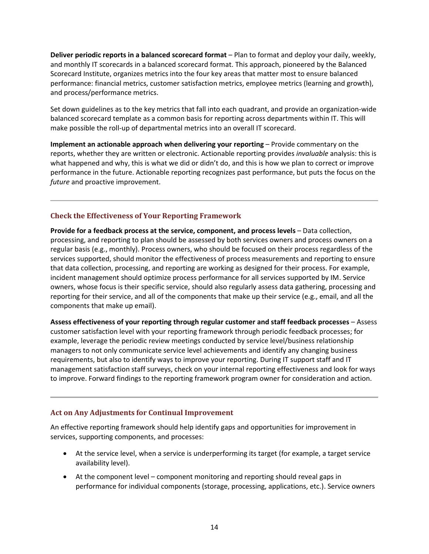**Deliver periodic reports in a balanced scorecard format** – Plan to format and deploy your daily, weekly, and monthly IT scorecards in a balanced scorecard format. This approach, pioneered by the Balanced Scorecard Institute, organizes metrics into the four key areas that matter most to ensure balanced performance: financial metrics, customer satisfaction metrics, employee metrics (learning and growth), and process/performance metrics.

Set down guidelines as to the key metrics that fall into each quadrant, and provide an organization-wide balanced scorecard template as a common basis for reporting across departments within IT. This will make possible the roll-up of departmental metrics into an overall IT scorecard.

**Implement an actionable approach when delivering your reporting** – Provide commentary on the reports, whether they are written or electronic. Actionable reporting provides *invaluable* analysis: this is what happened and why, this is what we did or didn't do, and this is how we plan to correct or improve performance in the future. Actionable reporting recognizes past performance, but puts the focus on the *future* and proactive improvement.

#### **Check the Effectiveness of Your Reporting Framework**

**Provide for a feedback process at the service, component, and process levels** – Data collection, processing, and reporting to plan should be assessed by both services owners and process owners on a regular basis (e.g., monthly). Process owners, who should be focused on their process regardless of the services supported, should monitor the effectiveness of process measurements and reporting to ensure that data collection, processing, and reporting are working as designed for their process. For example, incident management should optimize process performance for all services supported by IM. Service owners, whose focus is their specific service, should also regularly assess data gathering, processing and reporting for their service, and all of the components that make up their service (e.g., email, and all the components that make up email).

**Assess effectiveness of your reporting through regular customer and staff feedback processes** – Assess customer satisfaction level with your reporting framework through periodic feedback processes; for example, leverage the periodic review meetings conducted by service level/business relationship managers to not only communicate service level achievements and identify any changing business requirements, but also to identify ways to improve your reporting. During IT support staff and IT management satisfaction staff surveys, check on your internal reporting effectiveness and look for ways to improve. Forward findings to the reporting framework program owner for consideration and action.

#### **Act on Any Adjustments for Continual Improvement**

An effective reporting framework should help identify gaps and opportunities for improvement in services, supporting components, and processes:

- At the service level, when a service is underperforming its target (for example, a target service availability level).
- At the component level component monitoring and reporting should reveal gaps in performance for individual components (storage, processing, applications, etc.). Service owners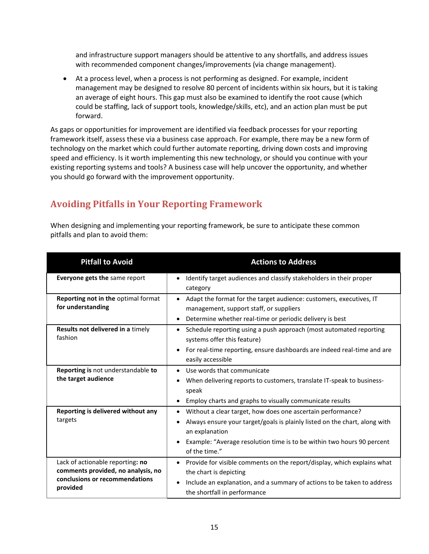and infrastructure support managers should be attentive to any shortfalls, and address issues with recommended component changes/improvements (via change management).

 At a process level, when a process is not performing as designed. For example, incident management may be designed to resolve 80 percent of incidents within six hours, but it is taking an average of eight hours. This gap must also be examined to identify the root cause (which could be staffing, lack of support tools, knowledge/skills, etc), and an action plan must be put forward.

As gaps or opportunities for improvement are identified via feedback processes for your reporting framework itself, assess these via a business case approach. For example, there may be a new form of technology on the market which could further automate reporting, driving down costs and improving speed and efficiency. Is it worth implementing this new technology, or should you continue with your existing reporting systems and tools? A business case will help uncover the opportunity, and whether you should go forward with the improvement opportunity.

## <span id="page-14-0"></span>**Avoiding Pitfalls in Your Reporting Framework**

When designing and implementing your reporting framework, be sure to anticipate these common pitfalls and plan to avoid them:

| <b>Pitfall to Avoid</b>                                                                                              | <b>Actions to Address</b>                                                                                                                                                                                                                              |
|----------------------------------------------------------------------------------------------------------------------|--------------------------------------------------------------------------------------------------------------------------------------------------------------------------------------------------------------------------------------------------------|
| <b>Everyone gets the same report</b>                                                                                 | Identify target audiences and classify stakeholders in their proper<br>category                                                                                                                                                                        |
| <b>Reporting not in the optimal format</b><br>for understanding                                                      | Adapt the format for the target audience: customers, executives, IT<br>management, support staff, or suppliers<br>Determine whether real-time or periodic delivery is best                                                                             |
| Results not delivered in a timely<br>fashion                                                                         | Schedule reporting using a push approach (most automated reporting<br>systems offer this feature)<br>For real-time reporting, ensure dashboards are indeed real-time and are<br>$\bullet$<br>easily accessible                                         |
| Reporting is not understandable to<br>the target audience                                                            | Use words that communicate<br>When delivering reports to customers, translate IT-speak to business-<br>speak<br>Employ charts and graphs to visually communicate results                                                                               |
| Reporting is delivered without any<br>targets                                                                        | Without a clear target, how does one ascertain performance?<br>Always ensure your target/goals is plainly listed on the chart, along with<br>an explanation<br>Example: "Average resolution time is to be within two hours 90 percent<br>of the time." |
| Lack of actionable reporting: no<br>comments provided, no analysis, no<br>conclusions or recommendations<br>provided | Provide for visible comments on the report/display, which explains what<br>the chart is depicting<br>Include an explanation, and a summary of actions to be taken to address<br>the shortfall in performance                                           |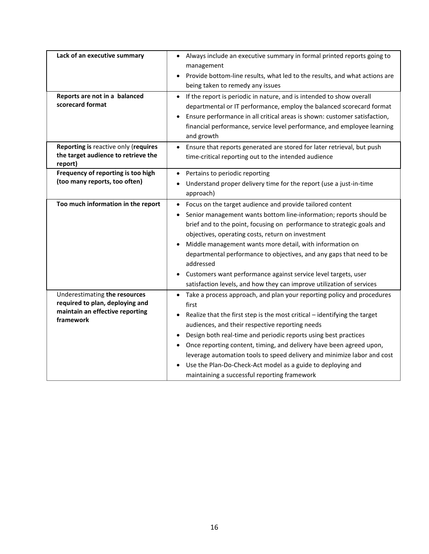<span id="page-15-0"></span>

| Lack of an executive summary<br>Reports are not in a balanced<br>scorecard format                                | Always include an executive summary in formal printed reports going to<br>management<br>Provide bottom-line results, what led to the results, and what actions are<br>being taken to remedy any issues<br>If the report is periodic in nature, and is intended to show overall<br>$\bullet$<br>departmental or IT performance, employ the balanced scorecard format<br>Ensure performance in all critical areas is shown: customer satisfaction,<br>financial performance, service level performance, and employee learning<br>and growth                  |
|------------------------------------------------------------------------------------------------------------------|------------------------------------------------------------------------------------------------------------------------------------------------------------------------------------------------------------------------------------------------------------------------------------------------------------------------------------------------------------------------------------------------------------------------------------------------------------------------------------------------------------------------------------------------------------|
| Reporting is reactive only (requires<br>the target audience to retrieve the<br>report)                           | Ensure that reports generated are stored for later retrieval, but push<br>time-critical reporting out to the intended audience                                                                                                                                                                                                                                                                                                                                                                                                                             |
| Frequency of reporting is too high<br>(too many reports, too often)                                              | Pertains to periodic reporting<br>Understand proper delivery time for the report (use a just-in-time<br>approach)                                                                                                                                                                                                                                                                                                                                                                                                                                          |
| Too much information in the report                                                                               | Focus on the target audience and provide tailored content<br>Senior management wants bottom line-information; reports should be<br>brief and to the point, focusing on performance to strategic goals and<br>objectives, operating costs, return on investment<br>Middle management wants more detail, with information on<br>departmental performance to objectives, and any gaps that need to be<br>addressed<br>Customers want performance against service level targets, user<br>satisfaction levels, and how they can improve utilization of services |
| Underestimating the resources<br>required to plan, deploying and<br>maintain an effective reporting<br>framework | Take a process approach, and plan your reporting policy and procedures<br>first<br>Realize that the first step is the most critical - identifying the target<br>audiences, and their respective reporting needs<br>Design both real-time and periodic reports using best practices<br>Once reporting content, timing, and delivery have been agreed upon,<br>leverage automation tools to speed delivery and minimize labor and cost<br>Use the Plan-Do-Check-Act model as a guide to deploying and<br>maintaining a successful reporting framework        |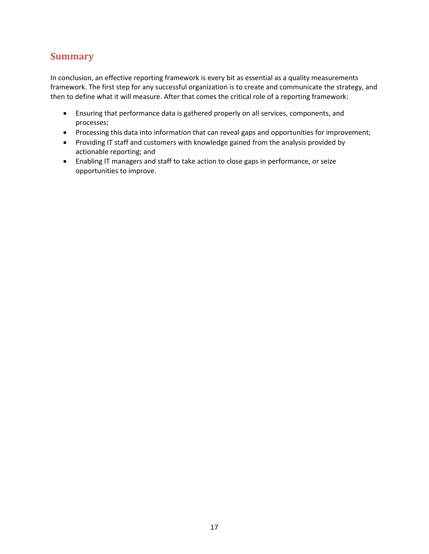### **Summary**

In conclusion, an effective reporting framework is every bit as essential as a quality measurements framework. The first step for any successful organization is to create and communicate the strategy, and then to define what it will measure. After that comes the critical role of a reporting framework:

- Ensuring that performance data is gathered properly on all services, components, and processes;
- Processing this data into information that can reveal gaps and opportunities for improvement;
- Providing IT staff and customers with knowledge gained from the analysis provided by actionable reporting; and
- Enabling IT managers and staff to take action to close gaps in performance, or seize opportunities to improve.